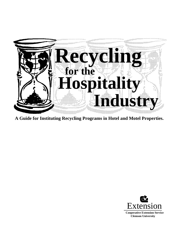

**A Guide for Instituting Recycling Programs in Hotel and Motel Properties.**

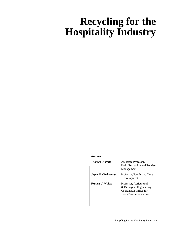# **Recycling for the Hospitality Industry**

#### **Authors**

| <b>Thomas D. Potts</b> | Associate Professor,<br>Parks Recreation and Tourism<br>Management                                     |
|------------------------|--------------------------------------------------------------------------------------------------------|
| Joyce H. Christenbury  | Professor, Family and Youth<br>Development                                                             |
| Francis J. Wolak       | Professor, Agricultural<br>& Biological Engineering<br>Coordinator Office for<br>Solid Waste Education |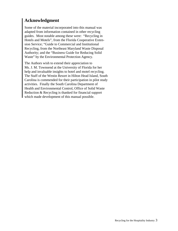#### **Acknowledgment**

Some of the material incorporated into this manual was adapted from information contained in other recycling guides. Most notable among these were: "Recycling in Hotels and Motels", from the Florida Cooperative Extension Service; "Guide to Commercial and Institutional Recycling, from the Northeast Maryland Waste Disposal Authority; and the "Business Guide for Reducing Solid Waste" by the Environmental Protection Agency.

The Authors wish to extend their appreciation to Ms. J. M. Townsend at the University of Florida for her help and invaluable insights to hotel and motel recycling. The Staff of the Westin Resort in Hilton Head Island, South Carolina is commended for their participation in pilot study activities. Finally the South Carolina Department of Health and Environmental Control, Office of Solid Waste Reduction & Recycling is thanked for financial support which made development of this manual possible.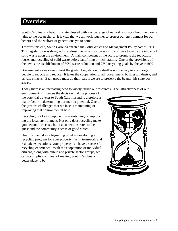## **Overview**

South Carolina is a beautiful state blessed with a wide range of natural resources from the mountains to the ocean shore. It is vital that we all work together to protect our environment for our benefit and the welfare of generations yet to come.

Towards this end, South Carolina enacted the Solid Waste and Management Policy Act of 1991. This legislation was designed to address the growing concern citizens have towards the impact of solid waste upon the environment. A main component of the act is to promote the reduction, reuse, and recycling of solid waste before landfilling or incineration. One of the provisions of the law is the establishment of 30% waste reduction and 25% recycling goals by the year 1997.

Government alone cannot meet the goals. Legislation by itself is not the way to encourage people to recycle and reduce. It takes the cooperation of all; government, business, industry, and private citizens. Each group must do their part if we are to preserve the beauty this state possesses.

Today there is an increasing need to wisely utilize our resources. The attractiveness of our

environment influences the decision making process of the potential traveler to South Carolina and is therefore a major factor in determining our market potential. One of the greatest challenges that we face is maintaining or improving that environmental base.

Recycling is a key component in maintaining or improving the local environment. Not only does recycling make good economic sense, but it also demonstrates to the guest and the community a sense of good ethics.

Use this manual as a beginning point in developing a recycling program for your property. With teamwork and realistic expectations, your property can have a successful recycling experience. With the cooperation of individual citizens, along with public and private sector groups, we can accomplish our goal of making South Carolina a better place to be.

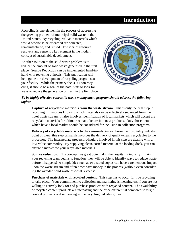# **Introduction**

Recycling is one element in the process of addressing the growing problem of municipal solid waste in the United States. By recycling, valuable materials which would otherwise be discarded are collected, remanufactured, and reused. The idea of resource recovery and reuse is a key element in the modern concept of sustainable development.

Another solution to the solid waste problem is to reduce the amount of solid waste generated in the first place. Source Reduction can be implemented hand-inhand with recycling at hotels. This publication will help guide the development of recycling programs at your facility. While the primary focus is upon recycling, it should be a goal of the hotel staff to look for ways to reduce the generation of trash in the first place.



#### *To be highly effective your solid waste management program should address the following topics:*

**Capture of recyclable materials from the waste stream.** This is only the first step in recycling. It involves knowing which materials can be effectively separated from the hotel waste stream. It also involves identification of local markets which will accept the recyclable materials for ultimate remanufacture into new products. Only those items which have a local market should be considered for inclusion in collection programs.

**Delivery of recyclable materials to the remanufactures.** From the hospitality industry point of view, this step primarily involves the delivery of quality-clean recyclables to the processor. The intermediate processors\haulers involved in this step are dealing with a low-value commodity. By supplying clean, sorted material at the loading dock, you can ensure a market for your recyclable materials.

**Source reduction.** This concept has great potential in the hospitality industry. As your recycling team begins to function, they will be able to identify ways to reduce waste before it happens! A simple idea such as two-sided copies can have a tremendous impact upon the waste stream and often times save money in the process (without even considering the avoided solid waste disposal expense).

**Purchase of materials with recycled content.** This step has to occur for true recycling to take place. Your commitment to collection and marketing is meaningless if you are not willing to actively look for and purchase products with recycled content. The availability of recycled content products are increasing and the price differential compared to virgin content products is disappearing as the recycling industry grows.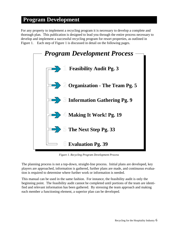# **Program Development**

For any property to implement a recycling program it is necessary to develop a complete and thorough plan. This publication is designed to lead you through the entire process necessary to develop and implement a successful recycling program for resort properties, as outlined in Figure 1. Each step of Figure 1 is discussed in detail on the following pages.



*Figure 1. Recycling Program Development Process*

The planning process is not a top-down, straight-line process. Initial plans are developed, key players are approached, information is gathered, further plans are made, and continuous evaluation is required to determine where further work or information is needed.

This manual can be used in the same fashion. For instance, the feasibility audit is only the beginning point. The feasibility audit cannot be completed until portions of the team are identified and relevant information has been gathered. By stressing the team approach and making each member a functioning element, a superior plan can be developed.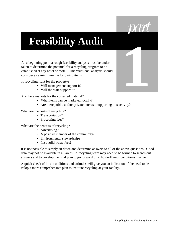

**1**

# **Feasibility Audit**

As a beginning point a rough feasibility analysis must be undertaken to determine the potential for a recycling program to be established at any hotel or motel. This "first-cut" analysis should consider as a minimum the following items:

Is recycling right for the property?

- Will management support it?
- Will the staff support it?

Are there markets for the collected material?

- What items can be marketed locally?
- Are there public and/or private interests supporting this activity?

What are the costs of recycling?

- Transportation?
- Processing fees?

What are the benefits of recycling?

- Advertising?
- A positive member of the community?
- Environmental stewardship?
- Less solid waste fees?

It is not possible to simply sit down and determine answers to all of the above questions. Good data may not be available in all areas. A recycling team may need to be formed to search out answers and to develop the final plan to go forward or to hold-off until conditions change.

A quick check of local conditions and attitudes will give you an indication of the need to develop a more comprehensive plan to institute recycling at your facility.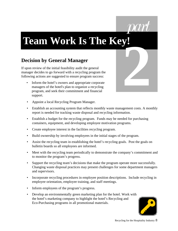

# **Team Work Is The Key!**

# **Decision by General Manager**

If upon review of the initial feasibility audit the general manager decides to go forward with a recycling program the following actions are suggested to ensure program success:

• Inform the hotel's owners and appropriate corporate managers of the hotel's plan to organize a recycling program, and seek their commitment and financial support.



- Appoint a local Recycling Program Manager.
- Establish an accounting system that reflects monthly waste management costs. A monthly report is needed for tracking waste disposal and recycling information.
- Establish a budget for the recycling program. Funds may be needed for purchasing containers, equipment, and developing employee motivation programs.
- Create employee interest in the facilities recycling program.
- Build ownership by involving employees in the initial stages of the program.
- Assist the recycling team in establishing the hotel's recycling goals. Post the goals on bulletin boards so all employees are informed.
- Meet with the recycling team periodically to demonstrate the company's commitment and to monitor the program's progress.
- Support the recycling team's decisions that make the program operate more successfully. Changing waste disposal practices may present challenges for some department managers and supervisors.
- Incorporate recycling procedures in employee position descriptions. Include recycling in employee orientation, employee training, and staff meetings.
- Inform employees of the program's progress.
- Develop an environmentally green marketing plan for the hotel. Work with the hotel's marketing company to highlight the hotel's Recycling and Eco-Purchasing programs in all promotional materials.

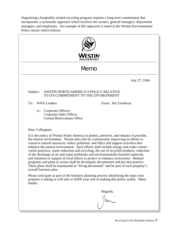Organizing a hospitality related recycling program requires a long term commitment that incorporates a systematic approach which involves the owners, general managers, department managers, and employees. An example of this approach is noted in the Westin Environmental Policy memo which follows.

|                                                                                                                                                                                                                                                                                                                                                                                                                                                                                                                                                                                                                                                                                                                                                                                                                                                  | Memo                                                                                              |  |  |  |  |
|--------------------------------------------------------------------------------------------------------------------------------------------------------------------------------------------------------------------------------------------------------------------------------------------------------------------------------------------------------------------------------------------------------------------------------------------------------------------------------------------------------------------------------------------------------------------------------------------------------------------------------------------------------------------------------------------------------------------------------------------------------------------------------------------------------------------------------------------------|---------------------------------------------------------------------------------------------------|--|--|--|--|
|                                                                                                                                                                                                                                                                                                                                                                                                                                                                                                                                                                                                                                                                                                                                                                                                                                                  | July 27, 1994                                                                                     |  |  |  |  |
| Subject:                                                                                                                                                                                                                                                                                                                                                                                                                                                                                                                                                                                                                                                                                                                                                                                                                                         | WESTIN NORTH AMERICA'S POLICY RELATIVE<br>TO ITS COMMITMENT TO THE ENVIRONMENT                    |  |  |  |  |
| To:                                                                                                                                                                                                                                                                                                                                                                                                                                                                                                                                                                                                                                                                                                                                                                                                                                              | <b>WNA Leaders</b><br>From: Jim Treadway                                                          |  |  |  |  |
| cc:                                                                                                                                                                                                                                                                                                                                                                                                                                                                                                                                                                                                                                                                                                                                                                                                                                              | <b>Corporate Officers</b><br><b>Corporate Sales Offices</b><br><b>Central Reservations Office</b> |  |  |  |  |
| Dear Colleagues:                                                                                                                                                                                                                                                                                                                                                                                                                                                                                                                                                                                                                                                                                                                                                                                                                                 |                                                                                                   |  |  |  |  |
| It is the policy of Westin North America to protect, preserve, and enhance if possible,<br>the natural environment. Westin does this by continuously improving its efforts to<br>conserve natural resources, reduce pollution, and effect and support activities that<br>enhance the natural environment. Such efforts shall include energy and water conser-<br>vation practices, waste reduction and recycling, the use of recycled products, reduction<br>of the discharge of air and water pollutants and environmentally-harmful materials,<br>and initiation or support of local efforts to protect or enhance ecosystems. Related<br>programs and plans to action shall be developed, documented and put into practice.<br>These plans shall be maintained as "living documents" and be part of each property's<br>overall business plan. |                                                                                                   |  |  |  |  |
| Please anticipate as part of the business planning process identifying the steps your<br>property is taking or will take to fulfill your role in making this policy reality. Many<br>thanks.                                                                                                                                                                                                                                                                                                                                                                                                                                                                                                                                                                                                                                                     |                                                                                                   |  |  |  |  |
|                                                                                                                                                                                                                                                                                                                                                                                                                                                                                                                                                                                                                                                                                                                                                                                                                                                  | Regards,                                                                                          |  |  |  |  |
|                                                                                                                                                                                                                                                                                                                                                                                                                                                                                                                                                                                                                                                                                                                                                                                                                                                  |                                                                                                   |  |  |  |  |
|                                                                                                                                                                                                                                                                                                                                                                                                                                                                                                                                                                                                                                                                                                                                                                                                                                                  |                                                                                                   |  |  |  |  |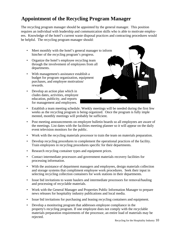# **Appointment of the Recycling Program Manager**

The recycling program manager should be appointed by the general manager. This position requires an individual with leadership and communication skills who is able to motivate employees. Knowledge of the hotel's current waste disposal practices and contracting procedures would be helpful. The recycling program manager should:

- Meet monthly with the hotel's general manager to inform him/her of the recycling program's progress.
- Organize the hotel's employee recycling team through the involvement of employees from all departments.
- With management's assistance establish a budget for program organization, equipment purchases, and employee motivation/ rewards.
- Develop an action plan which in cludes dates, activities, employee education, publicity, and reports for management and employees.



- Establish a team meeting schedule. Weekly meetings will be needed during the first few weeks as the recycling program is being organized. Once the program is fully imple mented, monthly meetings will probably be sufficient.
- Post meeting announcements on employee bulletin boards so all employees are aware of the meetings. List dates with the facilities meeting planner so it will appear on the daily event television monitors for the public.
- Work with the recycling materials processor to train the team on materials preparation.
- Develop recycling procedures to complement the operational practices of the facility. Train employees in recycling procedures specific for their departments.
- Research recycling container types and equipment prices.
- Contact intermediate processors and government materials recovery facilities for processing information.
- With the assistance of department managers and employees, design materials collection and storage systems that compliment employee work procedures. Seek their input in selecting recycling collection containers for work stations in their departments.
- Issue bid invitations to waste haulers and intermediate processors for removal/hauling and processing of recyclable materials.
- Work with the General Manager and Properties Public Information Manager to prepare news releases for hospitality industry publications and local media.
- Issue bid invitations for purchasing and leasing recycling containers and equipment.
- Develop a monitoring program that addresses employee compliance in the property's recycling program. If one employee does not comply with the recyclable materials preparation requirements of the processor, an entire load of materials may be rejected.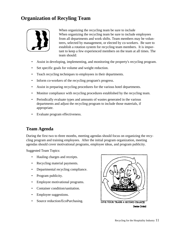# **Organization of Recyling Team**



When organizing the recycling team be sure to include When organizing the recycling team be sure to include employees from all departments and work shifts. Team members may be volunteers, selected by management, or elected by co-workers. Be sure to establish a rotation system for recycling team members. It is important to keep a few experienced members on the team at all times. The team should:

- Assist in developing, implementing, and monitoring the property's recycling program.
- Set specific goals for volume and weight reduction.
- Teach recycling techniques to employees in their departments.
- Inform co-workers of the recycling program's progress.
- Assist in preparing recycling procedures for the various hotel departments.
- Monitor compliance with recycling procedures established by the recycling team.
- Periodically evaluate types and amounts of wastes generated in the various departments and adjust the recycling program to include those materials, if appropriate.
- Evaluate program effectiveness.

#### **Team Agenda**

During the first two to three months, meeting agendas should focus on organizing the recycling program and training employees. After the initial program organization, meeting agendas should cover motivational programs, employee ideas, and program publicity.

Suggested Team Topics:

- Hauling charges and receipts.
- Recycling material payments.
- Departmental recycling compliance.
- Program publicity.
- Employee motivational programs.
- Container condition/sanitation.
- Employee suggestions.
- Source reduction/EcoPurchasing.



Denise Civiletti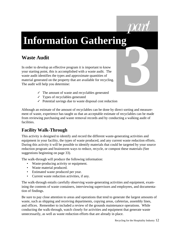

# **Information Gathering 3**

# **Waste Audit**

In order to develop an effective program it is important to know your starting point, this is accomplished with a waste audit. The waste audit identifies the types and approximate quantities of material generated on the property that are available for recycling. The audit will help you determine:

- $\checkmark$  The amount of waste and recyclables generated
- ✓ Types of recyclables generated
- ✓ Potential savings due to waste disposal cost reduction

Although an estimate of the amount of recyclables can be done by direct sorting and measurement of waste, experience has taught us that an acceptable estimate of recyclables can be made from reviewing purchasing and waste removal records and by conducting a walking audit of facilities.

#### **Facility Walk-Through**

This activity is designed to identify and record the different waste-generating activities and equipment in your facility, the types of waste produced, and any current waste reduction efforts. During this activity it will be possible to identify materials that could be targeted by your source reduction program and brainstorm ways to reduce, recycle, or compost these materials (See suggestions beginning on page 33).

The walk-through will produce the following information:

- Waste-producing activity or equipment.
- Waste material produced.
- Estimated waste produced per year.
- Current waste reduction activities, if any.

The walk-through entails carefully observing waste-generating activities and equipment, examining the contents of waste containers, interviewing supervisors and employees, and documentation of findings.

Be sure to pay close attention to areas and operations that tend to generate the largest amounts of waste, such as shipping and receiving departments, copying areas, cafeterias, assembly lines, and offices. Remember to included a review of the grounds maintenance operations. While conducting the walk-through, watch closely for activities and equipment that generate waste unnecessarily, as well as waste reduction efforts that are already in place.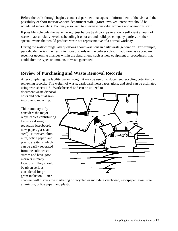Before the walk-through begins, contact department managers to inform them of the visit and the possibility of short interviews with department staff. (More involved interviews should be scheduled separately.) You may also want to interview custodial workers and operations staff.

If possible, schedule the walk-through just before trash pickups to allow a sufficient amount of waste to accumulate. Avoid scheduling it on or around holidays, company parties, or other special events that would produce waste not representative of a normal workday.

During the walk-through, ask questions about variations in daily waste generation. For example, periodic deliveries may result in more discards on the delivery day. In addition, ask about any recent or upcoming changes within the department, such as new equipment or procedures, that could alter the types or amounts of waste generated.

#### **Review of Purchasing and Waste Removal Records**

After completing the facility walk-through, it may be useful to document recycling potential by reviewing records. The weight of waste, cardboard, newspaper, glass, and steel can be estimated using worksheets 1-5. Worksheets  $6 & 7$  can be utilized to

document waste disposal costs and potential savings due to recycling.

This summary only considers the major recycleables contributing to disposal weight reduction (cardboard, newspaper, glass, and steel). However, aluminum, office paper, and plastic are items which can be easily seperated from the solid waste stream and have good markets in many locations. They should be given serious considered for program inclusion. Later



chapters will discuss the marketing of recyclables including cardboard, newspaper, glass, steel, aluminum, office paper, and plastic.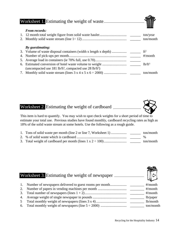#### Worksheet 1. Estimating the weight of waste



| <b>From records:</b> |           |
|----------------------|-----------|
|                      | ton/year  |
|                      | ton/month |
|                      |           |
|                      |           |

#### *By guestimating:* 3. Volume of waste disposal containers (width x length x depth) ................. \_\_\_\_\_\_ ft<sup>3</sup> 4. Number of pick-ups per month.................................................................. \_\_\_\_\_\_ #/month 5. Average load in containers (ie 70% full, use 0.70).................................... \_\_\_\_\_\_ 6. Estimated conversion of hotel waste volume to weight ............................ \_\_\_\_\_\_ lb/ft<sup>3</sup> (uncompacted use  $181$  lb/ft<sup>3</sup>, compacted use  $28$  lb/ft<sup>3</sup>) 7. Monthly solid waste stream (lines 3 x 4 x 5 x 6 ÷ 2000) .......................... \_\_\_\_\_\_ ton/month

#### Worksheet 2. Estimating the weight of cardboard

This item is hard to quantify. You may wish to spot check weights for a short period of time to estimate your total use. Previous studies have found monthly, cardboard recycling rates as high as 18% of the solid waste stream at some hotels. Use the following as a rough guide.

| 1. Tons of solid waste per month (line 2 or line 7, Worksheet 1) | ton/month |
|------------------------------------------------------------------|-----------|
|                                                                  | $\%$      |
|                                                                  | ton/month |

| Worksheet 3. Estimating the weight of newspaper |                                                            |  |             |  |
|-------------------------------------------------|------------------------------------------------------------|--|-------------|--|
|                                                 | 1. Number of newspapers delivered to guest rooms per month |  | $\#$ /month |  |
| 2.                                              |                                                            |  | $\#$ /month |  |
| 3.                                              |                                                            |  | $\#$ /month |  |
| 4.                                              |                                                            |  | $lb$ paper  |  |
|                                                 |                                                            |  | lb/month    |  |
| 6.                                              |                                                            |  | ton/month   |  |

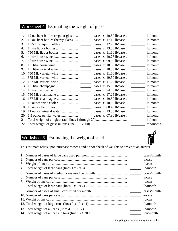#### Worksheet 4. Estimating the weight of glass

| 1.  | 12 oz. beer bottles (regular glass) ______               | cases x 10.50 lb/case  _________ lb/month   |          |
|-----|----------------------------------------------------------|---------------------------------------------|----------|
| 2.  | 12 oz. beer bottles (heavy glass)                        |                                             |          |
| 3.  |                                                          | cases x 12.75 lb/case  ___________ lb/month |          |
| 4.  |                                                          | cases $x$ 13.50 lb/case                     | lb/month |
| 5.  |                                                          |                                             | lb/month |
| 6.  |                                                          | cases x 10.25 lb/case  lb/month             |          |
| 7.  |                                                          | cases $x$ 09.00 lb/case $\ldots$            | lb/month |
| 8.  |                                                          |                                             | lb/month |
| 9.  |                                                          |                                             |          |
| 10. |                                                          |                                             | lb/month |
| 11. |                                                          |                                             | lb/month |
|     |                                                          |                                             |          |
|     |                                                          | cases $x$ 15.00 lb/case $\ldots$            | lb/month |
|     |                                                          |                                             | lb/month |
|     |                                                          |                                             | lb/month |
|     |                                                          | cases $x$ 19.50 lb/case $\ldots$            | lb/month |
|     |                                                          | cases x 10.50 lb/case  b/month              |          |
| 18. |                                                          | cases $x$ 08.40 lb/case $\ldots$            | lb/month |
| 19. |                                                          | cases $x$ 13.50 lb/case $\ldots$            | lb/month |
|     |                                                          |                                             | lb/month |
|     |                                                          |                                             | lb/month |
|     | 22. Total weight of glass in tons (line $21 \div 2000$ ) |                                             |          |
|     |                                                          |                                             |          |

# Worksheet 5. Estimating the weight of steel



This estimate relies upon purchase records and a spot check of weights to arrive at an answer.

|  | cases/month |
|--|-------------|
|  | $\#/case$   |
|  | lb/can      |
|  | lb/month    |
|  | cases/month |
|  | $\#/case$   |
|  | lb/can      |
|  | lb/month    |
|  | cases/month |
|  | $\#/case$   |
|  | lb/can      |
|  | lb/month    |
|  | lb/month    |
|  | ton/month   |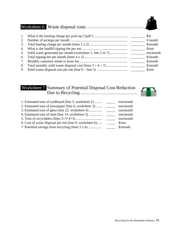# Worksheet 6. Waste disposal costs

|    |                                                               | $\frac{1}{2}$                 |
|----|---------------------------------------------------------------|-------------------------------|
|    |                                                               | $#$ month                     |
|    |                                                               | $\mathcal{S}/\text{month}$    |
|    |                                                               | $\frac{\text{S}}{\text{ton}}$ |
|    | 5. Solid waste generated per month (worksheet 1, line 2 or 7) | ton/month                     |
|    |                                                               | $\mathcal{S}/\text{month}$    |
| 7. |                                                               | $\mathcal{S}/\text{month}$    |
| 8. |                                                               |                               |
| 9. |                                                               |                               |

#### Worksheet 7. Summary of Potential Disposal Cost Reduction Due to Recycling



| 1. Estimated tons of cardboard (line 3, worksheet 2)    | ton/month                     |
|---------------------------------------------------------|-------------------------------|
| 2. Estimated tons of newspaper (line 6, worksheet 3)    | ton/month                     |
| 3. Estimated tons of glass (line 22, worksheet 4)       | ton/month                     |
| 4. Estimated tons of steel (line 14, worksheet 5)       | ton/month                     |
|                                                         | ton/month                     |
| 6. Cost of waste disposal per ton (line 9, worksheet 6) | $\frac{\text{S}}{\text{ton}}$ |
| 7. Potential savings from recycling (lines 5 x 6)       | $\mathcal{S}/\text{month}$    |
|                                                         |                               |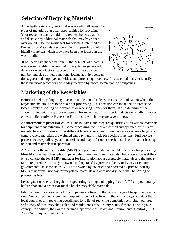# **Selection of Recycling Materials**

An indepth review of your initial waste audit will reveal the types of materials that offer opportunities for recycling. Your recycling team should fully review the waste audit and discuss any additional materials that may have been overlooked. Use the worksheet for selecting Intermediate Processor or Materials Recovery Facility, page16 to help identify materials which may have been overlooked in the waste audit.

 It has been established nationally that 50-65% of a hotel's waste is recyclable. The amount of recyclables generated depends on such factors as: type of facility, occupancy, number and size of meal functions, lounge activity, conven-



tions, guest and employee activities, and purchasing practices. It is essential that you identify those materials which will be readily received by processors\recycling companies.

# **Marketing of the Recyclables**

Before a hotel recycling progam can be implemented a decision must be made about where the recyclable materials are to be taken for processing. This decision can make the difference between simply disposing of recyclables or receiving money for them. It also determines the amount of materials preparation required for recycling. This important decision usually involves either public or private Processing Facilities of which there are several types.

An **intermediate processor** collects, consolidates, and prepares quantities of recyclable materials for shipment to manufacturers. Some processing facilities are owned and operated by mills or manufacturers. Processors offer different levels of services. Some processors operate buy-back centers where materials are weighed and payment is made for specific materials. Full-service processors accept all recyclable materials and may offer other services such as container leasing or loan and materials transportation.

A **Materials Recovery Facility (MRF)** accepts commingled recyclable materials for processing. Most MRFs accept glass, plastic, paper, aluminum, and steel materials. Each operation is different so contact the local MRF manager for information about acceptable materials and the preparation required. MRFs may be owned and operated by private industry or by city or county governments. In some states, MRFs are owned by counties and operated by private industry. MRFs may or may not pay for recyclable materials and occasionally there may be sorting or processing fees.

Investigate the rules and regulations governing hauling and tipping fees at MRFs in your county before choosing a processor for the hotel's recyclable materials.

Intermediate processors/recycling companies are listed in the yellow pages of telephone directories. New companies or smaller companies may not be listed in the yellow pages. Contact the local county or city recycling coordinator for a list of recycling companies servicing your area and a copy of local recycling rules and regulations at the County MRF, if there is one in your county. In addition, the South Carolina Department of Health and Enviromental Control (1-800- 768-7348) may be of assistance.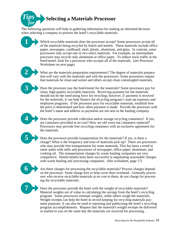

The following questions will help in gathering information for making an informed decision when selecting a company to process the hotel's recyclable materials.

> Which recyclable materials does the processor accept? Some processors accept all of the materials being recycled by hotels and motels. These materials include office paper, newspaper, cardboard, steel, plastic, aluminum, and glass. In contrast, some processors only accept one or two select materials. For example, an intermediate processor may recycle only aluminum or office paper. To reduce truck traffic at the hotel/motel, look for a processor who accepts all of the materials. (see Processor Worksheet on next page)

What are the materials preparation requirements? The degree of materials preparation will vary with the materials and with the processors. Some processors require that materials be clean and sorted and others accept clean commingled materials.

Does the processor pay the hotel/motel for the materials? Some processors pay for clean, high quality recyclable materials. Receiving payment for the materials should not be the motivating force for recycling; however, if payment is received for the materials, it can help finance the recycling program's start-up expenses and employee programs. If the processor pays for recyclable materials, establish how the price is determined and how often payment is made. Provide the processor with the hotel's name and address so payments are not sent to the hauling company.

Does the processor provide collection and/or storage recycling containers? If yes, are containers provided at no cost? How are old worn-out containers replaced? Processors may provide free recycling containers with an exclusive agreement for the materials.

Does the processor provide transportation for the materials? If yes, is there a charge? What is the frequency and time of materials pick-up? There are processors who may provide free transportation for some materials. This has been a trend in some states with mills and processors of newspaper, office paper, aluminum, and cooking oil. The transportation charges by waste hauling companies are very competitive. Hotels/motels have been successful in negotiating reasonable charges with waste hauling and processing companies. (See worksheet, page 17)

**6**

**1**

**2**

**3**

**4**

**5**

Are there charges for processing the recyclable materials? Process charges depend on the processor. Some charge fees to help cover their overhead. Generally processors who receive recyclable materials at no cost to them, do not charge for processing the recyclable materials.



Does the processor provide the hotel with the weight of recyclable materials? Material weights are of value in calculating the savings from the hotel's recycling program. Some processors estimate weights, while others weigh the materials. Weight receipts can help the hotel in record keeping for recycling materials payment purposes. It can also be used in reporting and publicizing the hotel's recycling program accomplishments. Request that the material's weight receipts be delivered or mailed to you on the same day the materials are received for processing.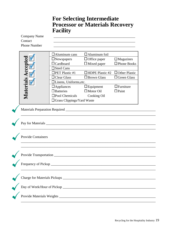### **For Selecting Intermediate Processor or Materials Recovery Facility**

| <b>Company Name</b><br>Contact<br><b>Phone Number</b> | <u> 1989 - Johann Barbara, martin amerikan basal dan berasal dalam basal dalam basal dalam basal dalam basal dala</u>                                                                                                                                                      |                                                                                                                                                                          |                                                                                                                          |  |  |
|-------------------------------------------------------|----------------------------------------------------------------------------------------------------------------------------------------------------------------------------------------------------------------------------------------------------------------------------|--------------------------------------------------------------------------------------------------------------------------------------------------------------------------|--------------------------------------------------------------------------------------------------------------------------|--|--|
| Materials Accepted                                    | $\Box$ Aluminum cans<br>$\Box$ Newspapers<br>$\Box$ Cardboard<br>$\Box$ Steel Cans<br>$\Box$ PET Plastic #1<br>$\Box$ Clear Glass<br>$\Box$ Linens, Uniforms, etc.<br>$\Box$ Appliances<br>$\square$ Batteries<br>$\square$ Pool Chemicals<br>□ Grass Clippings/Yard Waste | $\Box$ Aluminum foil<br>$\Box$ Office paper<br>$\Box$ Mixed paper<br>$\Box$ HDPE Plastic #2<br>$\Box$ Brown Glass<br>$\Box$ Equipment<br>$\Box$ Motor Oil<br>Cooking Oil | $\Box$ Magazines<br>$\Box$ Phone Books<br>$\Box$ Other Plastic<br>$\Box$ Green Glass<br>$\Box$ Furniture<br>$\Box$ Paint |  |  |
|                                                       |                                                                                                                                                                                                                                                                            |                                                                                                                                                                          |                                                                                                                          |  |  |
| <b>Provide Containers</b>                             |                                                                                                                                                                                                                                                                            |                                                                                                                                                                          |                                                                                                                          |  |  |
|                                                       |                                                                                                                                                                                                                                                                            |                                                                                                                                                                          |                                                                                                                          |  |  |
|                                                       |                                                                                                                                                                                                                                                                            |                                                                                                                                                                          |                                                                                                                          |  |  |
|                                                       |                                                                                                                                                                                                                                                                            |                                                                                                                                                                          |                                                                                                                          |  |  |
|                                                       |                                                                                                                                                                                                                                                                            |                                                                                                                                                                          |                                                                                                                          |  |  |
|                                                       |                                                                                                                                                                                                                                                                            |                                                                                                                                                                          |                                                                                                                          |  |  |
|                                                       |                                                                                                                                                                                                                                                                            |                                                                                                                                                                          |                                                                                                                          |  |  |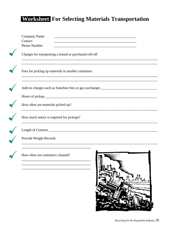# Worksheet For Selecting Materials Transportation

| Company Name<br>Contact<br><b>Phone Number</b> |                                                         | <u> 1980 - Johann Barn, mars and de British Barn, mars and de British Barn, mars and de British Barn, mars and de</u><br>the control of the control of the control of the control of the control of the control of             |  |
|------------------------------------------------|---------------------------------------------------------|--------------------------------------------------------------------------------------------------------------------------------------------------------------------------------------------------------------------------------|--|
|                                                | Charges for transporting a leased or purchased roll-off |                                                                                                                                                                                                                                |  |
|                                                | Fees for picking up materials in smaller containers     |                                                                                                                                                                                                                                |  |
|                                                |                                                         |                                                                                                                                                                                                                                |  |
|                                                |                                                         | Hours of pickup expression and the state of pickup expression of pickup expression of pickup expression of the state of the state of the state of the state of the state of the state of the state of the state of the state o |  |
| How often are materials picked up?             |                                                         |                                                                                                                                                                                                                                |  |
| How much notice is required for pickups?       |                                                         |                                                                                                                                                                                                                                |  |
|                                                |                                                         |                                                                                                                                                                                                                                |  |
| Provide Weight Records                         |                                                         |                                                                                                                                                                                                                                |  |
| How often are containers cleaned?              |                                                         |                                                                                                                                                                                                                                |  |
|                                                |                                                         |                                                                                                                                                                                                                                |  |
|                                                |                                                         |                                                                                                                                                                                                                                |  |
|                                                |                                                         |                                                                                                                                                                                                                                |  |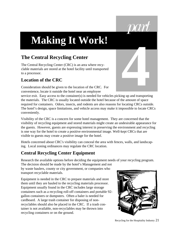# **Making It Work!**

# **The Central Recycling Center**

The Central Recycling Center (CRC) is an area where recyclable materials are stored at the hotel facility until transported to a processor.

#### **Location of the CRC**

Consideration should be given to the location of the CRC. For convenience, locate it outside the hotel near an employee



service exit. Easy access to the container(s) is needed for vehicles picking up and transporting the materials. The CRC is usually located outside the hotel because of the amount of space required for containers. Odors, insects, and rodents are also reasons for locating CRCs outside. The hotel's design, space limitations, and vehicle access may make it impossible to locate CRCs conveniently.

Visibility of the CRC is a concern for some hotel management. They are concerned that the visibility of recycling equipment and stored materials might create an undesirable appearance for the guests. However, guests are expressing interest in preserving the environment and recycling is one way for the hotel to create a positive environmental image. Well-kept CRCs that are visible to guests may create a positive image for the hotel.

Hotels concerned about CRC's visibility can conceal the area with fences, walls, and landscaping. Local zoning ordinances may regulate the CRC location.

#### **Central Recycling Center Equipment**

Research the available options before deciding the equipment needs of your recycling program.

The decision should be made by the hotel's Management and not by waste haulers, county or city government, or companies who transport recyclable materials.

Equipment is needed in the CRC to prepare materials and store them until they are hauled to the recycling materials processor. Equipment usually found in the CRC includes large storage containers such as a recycling roll-off containers and portable 92 gallon containers or dumpsters. Often a baler is needed for cardboard. A large trash container for disposing of nonrecyclables should also be placed in the CRC. If a trash container is not available, non-recyclables may be thrown into recycling containers or on the ground.

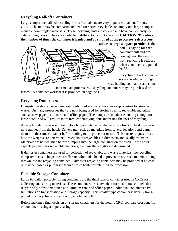#### **Recycling Roll-off Containers**

Large compartmentalized recycling roll-off containers are very popular containers for hotel CRCs. The unit may be compartmentalized for sorted recyclables or simply one large compartment for commingled materials. These recycling units are covered and have conveniently located sliding doors. They are available in different sizes but a word of **CAUTION! To reduce the number of times the container is hauled and/or emptied at the processor, select a container as large as space permits.** If the



hotel is paying for each container pull and processing fees, the savings from recycling is reduced when containers are pulled half full.

Recycling roll-off containers are available through

waste hauling companies and some

intermediate processors. Recycling containers may be purchased or leased. (A container worksheet is provided on page 22.)

#### **Recycling Dumpsters**

Dumpster waste containers are commonly used at smaller hotel/motel properties for storage of waste. On many properties they are now being used for storing specific recyclable materials such as newspaper, cardboard, and office paper. The dumpster container is not big enough for large hotels and will require more frequent emptying, thus increasing the cost of recycling.

A recycling dumpster is emptied into a larger container on the back of a truck. The dumpster is not removed from the hotel. Drivers may pick up materials from several locations and dump them into the same container before hauling to the processor or mill. This creates a question as to how the weights are determined. Weights of recyclables in dumpsters are usually estimates. Materials are not weighed before dumping into the large container on the truck. If the hotel expects payment for recyclable materials, ask how the weights are determined.

If dumpster containers are used for collection of recyclable and waste materials, the recycling dumpster needs to be painted a different color and labeled to prevent trash/waste materials being thrown into the recycling container. Dumpster recycling containers may be provided at no cost or may be leased or purchased from a waste hauler or intermediate processor.

#### **Portable Storage Containers**

Large 92-gallon portable rolling containers are the third type of container used in CRCs for collecting and storing materials. These containers are convenient for small hotels/motels that recycle only a few items such as aluminum cans and office paper. Individual containers have limitations on transportation and storage capacity. This smaller type container is usually transported by a recycling company or by a hotel vehicle.

Before making a final decision on storage containers for the hotel's CRC, compare cost benefits of container leasing and purchasing.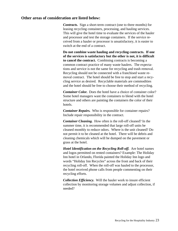#### **Other areas of consideration are listed below:**

*Contracts.* Sign a short-term contract (one to three months) for leasing recycling containers, processing, and hauling services. This will give the hotel time to evaluate the services of the hauler and processor and test the storage containers. If the service received from a hauler or processor is unsatisfactory, it is easier to switch at the end of a contract.

**Do not combine waste hauling and recycling contracts. If one of the services is satisfactory but the other is not, it is difficult to cancel the contract.** Combining contracts is becoming a common contract practice of many waste haulers. The expectations and service is not the same for recycling and trash removal. Recycling should not be connected with a franchised waste removal contract. The hotel should be free to stop and start a recycling service as desired. Recyclable materials are commodities and the hotel should be free to choose their method of recycling.

*Container Color.* Does the hotel have a choice of container color? Some hotel managers want the containers to blend with the hotel structure and others are painting the containers the color of their hotels.

*Container Repairs.* Who is responsible for container repairs? Include repair responsibility in the contract.

*Container Cleaning.* How often is the roll-off cleaned? In the summer time, it is recommended that large roll-off units be cleaned monthly to reduce odors. Where is the unit cleaned? Do not permit it to be cleaned at the hotel. There will be debris and cleaning chemicals which will be dumped on the pavement or grass at the hotel.

*Hotel Identification on the Recycling Roll-off.* Are hotel names and logos permitted on rented containers? Example: The Holiday Inn hotel in Orlando, Florida painted the Holiday Inn logo and words "Holiday Inn Recycles" across the front and back of their recycling roll-off. When the roll-off was hauled to the processor, the hotel received phone calls from people commenting on their recycling efforts.

*Collection Efficiency.* Will the hauler work to insure efficient collection by monitoring storage volumes and adjust collection, if needed?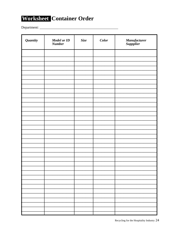# Worksheet Container Order

Department:

| Quantity | <b>Model or ID</b><br><b>Number</b> | Size | Color | Manufacturer<br>Suppplier |
|----------|-------------------------------------|------|-------|---------------------------|
|          |                                     |      |       |                           |
|          |                                     |      |       |                           |
|          |                                     |      |       |                           |
|          |                                     |      |       |                           |
|          |                                     |      |       |                           |
|          |                                     |      |       |                           |
|          |                                     |      |       |                           |
|          |                                     |      |       |                           |
|          |                                     |      |       |                           |
|          |                                     |      |       |                           |
|          |                                     |      |       |                           |
|          |                                     |      |       |                           |
|          |                                     |      |       |                           |
|          |                                     |      |       |                           |
|          |                                     |      |       |                           |
|          |                                     |      |       |                           |
|          |                                     |      |       |                           |
|          |                                     |      |       |                           |
|          |                                     |      |       |                           |
|          |                                     |      |       |                           |
|          |                                     |      |       |                           |
|          |                                     |      |       |                           |
|          |                                     |      |       |                           |
|          |                                     |      |       |                           |
|          |                                     |      |       |                           |
|          |                                     |      |       |                           |
|          |                                     |      |       |                           |
|          |                                     |      |       |                           |
|          |                                     |      |       |                           |
|          |                                     |      |       |                           |
|          |                                     |      |       |                           |
|          |                                     |      |       |                           |
|          |                                     |      |       |                           |
|          |                                     |      |       |                           |
|          |                                     |      |       |                           |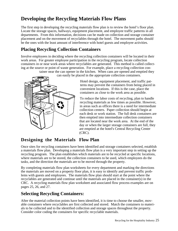# **Developing the Recycling Materials Flow Plans**

The first step in developing the recycling materials flow plan is to review the hotel's floor plan. Locate the storage spaces, hallways, equipment placement, and employee traffic patterns in all departments. From this information, decisions can be made on collection and storage container placement and on the movement of recyclables through the hotel. The movement paths should be the ones with the least amount of interference with hotel guests and employee activities.

#### **Placing Recycling Collection Containers**

Involve employees in deciding where the recycling collection containers will be located in their work areas. For greater employee participation in the recycling program, locate collection containers in or near work areas where recyclables are generated. This method is called collecting at the source or point of waste generation. For example, place a recycling collection con-

tainer near the can opener in the kitchen. When cans are opened and emptied they



can easily be placed in the appropriate collection containers.

Hotel design, equipment placement, and traffic patterns may prevent the containers from being placed in convenient locations. If this is the case, place the containers as close to the work area as possible.

To reduce the labor costs of recycling, plan to handle recycling materials as few times as possible. However, in areas such as offices there is a need for intermediate collection centers. Paper collection should begin at each desk or work station. The full desk containers are then emptied into intermediate collection containers that are located near the work area. At the end of the day or when the larger storage containers are full, they are emptied at the hotel's Central Recycling Center (CRC).

#### **Designing the Materials Flow Plan**

Once sites for recycling containers have been identified and storage containers selected, establish a materials flow plan. Developing a materials flow plan is a very important step in setting up the recycling program. The plan establishes which materials are to be recycled at specific locations, where materials are to be stored, the collection containers to be used, which employees do the tasks, and the direction the materials are to be moved through the property.

By completing materials flow plan worksheets for every department and marking the directions the materials are moved on a property floor plan, it is easy to identify and prevent traffic problems with guests and employees. The materials flow plan should start at the point where the recyclables are generated and continue until the materials are placed in the container(s) in the CRC. A recycling materials flow plan worksheet and associated flow process examples are on pages 25, 26, and 27.

#### **Selecting Recycling Containers:**

After the material collection points have been identified, it is time to choose the smaller, movable containers where recyclables are first collected and stored. Match the containers to materials to be collected and to the identified collection and storage spaces throughout the property. Consider color coding the containers for specific recyclable materials.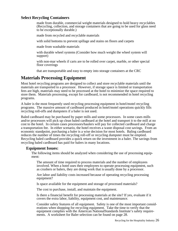#### **Select Recycling Containers**

made from durable, commercial weight materials designed to hold heavy recyclables (Recycling, collection, and storage containers that are going to be used for glass need to be exceptionally durable.)

made from recycled and recyclable materials

with solid bottoms to prevent spillage and stains on floors and carpets

made from washable materials

with durable wheel systems (Consider how much weight the wheel system will support)

with non-mar wheels if carts are to be rolled over carpet, marble, or other special floor coverings

that are transportable and easy to empty into storage containers at the CRC

#### **Materials Processing Equipment**

Most hotel recycling programs are designed to collect and store recyclable materials until the materials are transported to a processor. However, if storage space is limited or transportation fees are high, materials may need to be processed at the hotel to minimize the space required to store them. Materials processing, except for cardboard, is not recommended in hotel recycling programs.

A baler is the most frequently used recycling processing equipment in hotel/motel recycling programs. The massive amount of cardboard produced in hotel/motel operations quickly fills recycling roll-offs and dumpsters if a baler is not used.

Baled cardboard may be purchased by paper mills and some processors. In some cases mills and/or processors will pick up clean baled cardboard at the hotel and transport it to the mill at no cost to the hotel. In certain cases processors/haulers will pay for collected cardboard and charge a transportation fee. In either scenario, the hotel receives a waste disposal cost savings. From an economic standpoint, purchasing a baler is a wise decision for most hotels. Baling cardboard reduces the number of times the recycling roll-off or recycling dumpster must be emptied. Recycling baled cardboard provides a quick return on the investment in a baler. The savings from recycling baled cardboard has paid for balers in many locations.

#### **Equipment Issues:**

The following items should be analyzed when considering the use of processing equipment:

The amount of time required to process materials and the number of employees involved. When a hotel uses their employees to operate processing equipment, such as crushers or balers, they are doing work that is usually done by a processor.

Are labor and liability costs increased because of operating recycling processing equipment?

Is space available for the equipment and storage of processed materials?

The cost to purchase, install, and maintain the equipment.

Is there a financial benefit for processing materials at the site? If yes, evaluate if it covers the extra labor, liability, equipment cost, and maintenance.

Consider safety features of all equipment. Safety is one of the most important considerations when shopping for recycling equipment. Take the time to verify that the equipment complies with the American NationalStandards Institute's safety requirements. A worksheet for Baler selection can be found on page 28.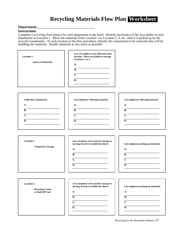# **Recycling Materials Flow Plan Worksheet**

#### Department:\_\_\_

#### **Instructions**

Complete a recycling flow plan(s) for each department in the hotel. Identify location(s) of the recyclables in each department at Location 1. Move the materials from Location 1 to Location 2, 3, etc. until it is picked up by the recycler/wastehauler. At each location in the flow procedure, identify the container(s) to be used and who will be handling the materials. Handle materials as few times as possible.

| <b>Location 1</b><br><b>Source of Materials</b>                                                         | List recyclabless to be collected at this<br>location. Move recyclables to storage<br>Locations 2 or 3.<br>A.<br>$\overline{B}$ .<br>$\overline{C}$<br>$\overline{D}$ . |                                                                                                        |
|---------------------------------------------------------------------------------------------------------|-------------------------------------------------------------------------------------------------------------------------------------------------------------------------|--------------------------------------------------------------------------------------------------------|
| <b>Collection Container(s)</b><br><b>A.</b><br>$\overline{B}$ .<br>$\overline{C}$ .<br>$\overline{D}$ . | List employees collecting material.<br>A.<br>$\overline{B}$ .<br>$\overline{C}$ .<br>$\overline{D}$ .                                                                   | List employees collecting material.<br>A.<br>$\overline{B}$ .<br>$\overline{C}$ .<br>$\overline{D}$ .  |
| <b>Location 2</b><br><b>Temporary Storage</b>                                                           | List containers to be used for storage or<br>moving of each recyclable list above.<br>A.<br>$\overline{B}$ .<br>$\overline{C}$ .<br>$\overline{D}$ .                    | List employees picking up materials.<br>A.<br>$\overline{B}$ .<br>$\overline{C}$ .<br>$\overline{D}$ . |
| <b>Location 3</b><br><b>Recycling Center</b><br>or Roll-Off Unit                                        | List containers to be used for storage or<br>moving of each recyclable list above.<br>A.<br>$\overline{B}$ .<br>$\overline{C}$ .<br>$\overline{D}$ .                    | List employees picking up materials.<br>A.<br>$\overline{B}$ .<br>$\overline{C}$ .<br>$\overline{D}$ . |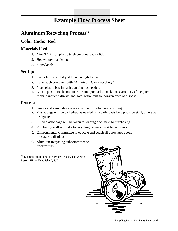# **Example Flow Process Sheet**

## **Aluminum Recycling Process1)**

#### **Color Code: Red**

#### **Materials Used:**

- 1. Nine 32 Gallon plastic trash containers with lids
- 2. Heavy duty plastic bags
- 3. Signs/labels

#### **Set-Up:**

- 1. Cut hole in each lid just large enough for can.
- 2. Label each container with "Aluminum Can Recycling."
- 3. Place plastic bag in each container as needed.
- 4. Locate plastic trash containers around poolside, snack bar, Carolina Cafe, copier room, banquet hallway, and hotel restaurant for convenience of disposal.

#### **Process:**

- 1. Guests and associates are responsible for voluntary recycling.
- 2. Plastic bags will be picked-up as needed on a daily basis by a poolside staff, others as designated.
- 3. Filled plastic bags will be taken to loading dock next to purchasing.
- 4. Purchasing staff will take to recycling center in Port Royal Plaza.
- 5. Environmental Committee to educate and coach all associates about process via displays.
- 6. Alumium Recycling subcommittee to track results.

 $1)$  Example Aluminim Flow Process Sheet, The Westin Resort, Hilton Head Island, S.C.

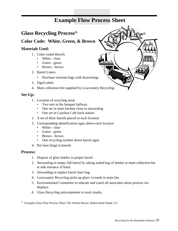# **Example Flow Process Sheet**

#### **Glass Recycling Process1)**

**Color Code: White, Green, & Brown**

#### **Materials Used:**

- 1. Color coded Barrels
	- White clear
	- Green green
	- Brown brown
- 2. Barrel Liners
	- Purchase resistant bags with drawstrings
- 3. Sign/Labels
- 4. Main collection bin supplied by Lowcountry Recycling

#### **Set-Up:**

- 1. Location of recycling areas
	- Two sets in the banquet hallway
	- One set in main kitchen close to stewarding
	- One set in Carolina Cafe back station
- 2. A set of three barrels placed in each location
- 3. Corresponding identification signs above each location
	- White clear
	- Green green
	- Brown brown
	- One recycling symbol above barrel signs
- 4. Put liner (bag) in barrels

#### **Process:**

- 1. Dispose of glass bottles in proper barrel.
- 2. Stewarding to empty full barrel by taking sealed bag of bottles to main collection bin at side entrance of hotel.
- 3. Stewarding to replace barrel liner bag.
- 4. Lowcountry Recycling picks up glass 1x/week in main bin.
- 5. Environmental Committee to educate and coach all associates about process via displays.
- 6. Glass Recycling subcommittee to track results.

<sup>1)</sup> Example Glass Flow Process Sheet, The Westin Resort, Hilton Head Island, S.C.

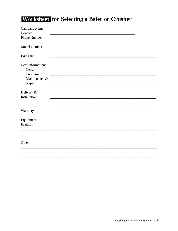# Worksheet for Selecting a Baler or Crusher

| Campany Name             |  |
|--------------------------|--|
| Contact                  |  |
| Phone Number             |  |
| Model Number             |  |
| <b>Bale Size</b>         |  |
| <b>Cost Information:</b> |  |
| Lease                    |  |
| Purchase                 |  |
| Maintenance &            |  |
| Repair                   |  |
| Delivery &               |  |
| Installation             |  |
|                          |  |
| Warranty                 |  |
| Equipment                |  |
| Features                 |  |
|                          |  |
|                          |  |
| Other                    |  |
|                          |  |
|                          |  |
|                          |  |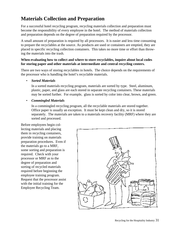# **Materials Collection and Preparation**

For a successful hotel recycling program, recycling materials collection and preparation must become the responsibility of every employee in the hotel. The method of materials collection and preparation depends on the degree of preparation required by the processor.

A small amount of preparation is required by all processors. It is easier and less time consuming to prepare the recyclables at the source. As products are used or containers are emptied, they are placed in specific recycling collection containers. This takes no more time or effort than throwing the materials into the trash.

#### **When evaluating how to collect and where to store recyclables, inquire about local codes for storing paper and other materials at intermediate and central recycling centers.**

There are two ways of storing recyclables in hotels. The choice depends on the requirements of the processor who is handling the hotel's recyclable materials.

• *Sorted Materials*

In a sorted materials recycling program, materials are sorted by type. Steel, aluminum, plastic, paper, and glass are each stored in separate recycling containers. These materials may be sorted further. For example, glass is sorted by color into clear, brown, and green.

• *Commingled Materials*

In a commingled recycling program, all the recyclable materials are stored together. Office paper is usually an exception. It must be kept clean and dry, so it is stored separately. The materials are taken to a materials recovery facility (MRF) where they are sorted and processed.

Before employees begin collecting materials and placing them in recycling containers, provide training on materials preparation procedures. Even if the materials go to a MRF, some sorting and preparation is required. Check with your processor or MRF as to the degree of preparation and sorting of recycled materials required before beginning the employee training program. Request that the processor assist with the initial training for the Employee Recycling Team.

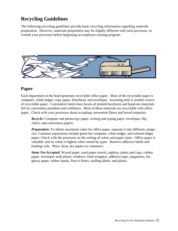# **Recycling Guidelines**

The following recycling guidelines provide basic recycling information regarding materials preparation. However, materials preparation may be slightly different with each processor, so consult your processor before beginning an employee training program.



#### **Paper**

Each department in the hotel generates recyclable office paper. Most of the recyclable paper is computer, white ledger, copy paper, letterhead, and envelopes. Incoming mail is another source of recyclable paper. Convention hotels have boxes of printed brochures and hand-out materials left by convention attendees and exhibitors. Most of these materials are recyclable with office paper. Check with your processor about accepting convention flyers and boxed materials.

*Recycle:* Computer and photocopy paper, writing and typing paper, envelopes, flip charts, and convention papers.

*Preparation:* To obtain maximum value for office paper, separate it into different categories. Common separations include green bar computer, white ledger, and colored ledger paper. Check with the processor on the sorting of colors and paper types. Office paper is valuable, and its value is highest when sorted by types. Remove adhesive labels and binding coils. Place clean, dry papers in containers.

*Items Not Accepted:* Waxed paper, used paper towels, napkins, plates and cups, carbon paper, envelopes with plastic windows, food wrappers, adhesive tape, magazines, fax glossy paper, rubber bands, Post-It Notes, mailing labels, and plastic.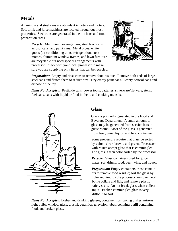#### **Metals**

Aluminum and steel cans are abundant in hotels and motels. Soft drink and juice machines are located throughout most properties. Steel cans are generated in the kitchens and food preparation areas.

> *Recycle:* Aluminum beverage cans, steel food cans, aerosol cans, and paint cans. Metal pipes, white goods (air conditioning units, refrigeration, etc.) motors, aluminum window frames, and lawn furniture are recyclable but need special arrangements with processor. Check with your local processor to make sure you are supplying only items that can be recycled.



*Preparation:* Empty and rinse cans to remove food residue. Remove both ends of large steel cans and flatten them to reduce size. Dry empty paint cans. Empty aerosol cans and dispose of the top.

*Items Not Accepted:* Pesticide cans, power tools, batteries, silverware/flatware, sterno fuel cans, cans with liquid or food in them, and cooking utensils.



#### **Glass**

Glass is primarily generated in the Food and Beverage Department. A small amount of glass may be generated from service bars in guest rooms. Most of the glass is generated from beer, wine, liquor, and food containers.

Some processors require that glass be sorted by color - clear, brown, and green. Processors with MRFs accept glass that is commingled. The glass is then color sorted by the processor.

*Recycle:* Glass containers used for juice, water, soft drinks, food, beer, wine, and liquor.

*Preparation:* Empty containers; rinse containers to remove food residue; sort the glass by color required by the processor; remove metal bottle collars and lids; and remove plastic safety seals. Do not break glass when collecting it. Broken commingled glass is very difficult to sort.

*Items Not Accepted:* Dishes and drinking glasses, container lids, baking dishes, mirrors, light bulbs, window glass, crystal, ceramics, television tubes, containers still containing food, and broken glass.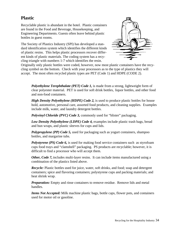#### **Plastic**

Recyclable plastic is abundant in the hotel. Plastic containers are found in the Food and Beverage, Housekeeping, and Engineering Departments. Guests often leave behind plastic bottles in guest rooms.

The Society of Plastics Industry (SPI) has developed a standard identification system which identifies the different kinds of plastic resins. This helps plastic processors recover different kinds of plastic materials. The coding system has a recycling triangle with numbers 1-7 which identifies the resin.



Originally only plastic bottles were coded, however, now most plastic containers have the recycling symbol on the bottom. Check with your processors as to the type of plastics they will accept. The most often recycled plastic types are PET (Code 1) and HDPE (CODE 2).

*Polyethylene Terephthalate (PET) Code 1,* is made from a strong, lightweight form of clear polyester material. PET is used for soft drink bottles, liquor bottles, and other food and non-food containers.

*High Density Polyethylene (HDPE) Code 2,* is used to produce plastic bottles for house hold, automotive, personal care, assorted food products, and cleaning supplies. Examples include milk, water, and laundry detergent bottles.

*Polyvinyl Chloride (PVC) Code 3, commonly used for "blister" packaging.* 

*Low Density Polyethylene (LDPE) Code 4,* examples include plastic trash bags, bread and bun wraps, and plastic sleeves for cups and lids.

*Polypropylene (PP) Code 5,* used for packaging such as yogurt containers, shampoo bottles, and margarine tubs.

*Polystyrene (PS) Code 6,* is used for making food service containers such as styrofoam cups food trays and "clamshell" packaging. PS products are recyclable; however, it is difficult to find a processor who will accept them.

*Other, Code 7,* includes multi-layer resins. It can include items manufactured using a combination of the plastics listed above.

*Recycle:* Plastic bottles used for juice, water, soft drinks, and food; soap and detergent containers; spice and flavoring containers; polystyrene cups and packing materials; and heat shrink wrap.

*Preparation:* Empty and rinse containers to remove residue. Remove lids and metal handles.

*Items Not Accepted:* Milk machine plastic bags, bottle caps, flower pots, and containers used for motor oil or gasoline.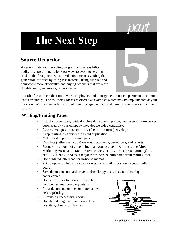# **The Next Step**

# **Source Reduction**

As you initiate your recycling program with a feasibility audit, it is appropriate to look for ways to avoid generating trash in the first place. Source reduction means avoiding the generation of waste by using less material, using supplies and equipment more efficiently, and buying products that are more durable, easily repairable, or recyclable.

In order for source reduction to work, employees and management must cooperate and communicate effectively. The following ideas are offered as examples which may be implemented at your location. With active participation of hotel management and staff, many other ideas will come forward. **5**

#### **Writing/Printing Paper**

- Establish a company-wide double-sided copying policy, and be sure future copiers purchased by your company have double-sided capability.
- Reuse envelopes or use two-way ("send-'n-return") envelopes.
- Keep mailing lists current to avoid duplication.
- Make scratch pads from used paper.
- Circulate (rather than copy) memos, documents, periodicals, and reports.
- Reduce the amount of advertising mail you receive by writing to the Direct Marketing Association Mail Preference Service, P. O. Box 9008, Farmingdale, NY 11735-9008, and ask that your business be eliminated from mailing lists.
- Use outdated letterhead for in-house memos.
- Put company bulletins on voice or electronic mail or post on a central bulletin board.
- Save documents on hard drives and/or floppy disks instead of making paper copies.
- Use central files to reduce the number of hard copies your company retains.
- Proof documents on the computer screen before printing.
- Eliminate unnecessary reports.
- Donate old magazines and journals to hospitals, clinics, or libraries.



*part*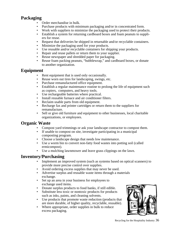#### **Packaging**

- Order merchandise in bulk.
- Purchase products with minimum packaging and/or in concentrated form.
- Work with suppliers to minimize the packaging used to protect their products.
- Establish a system for returning cardboard boxes and foam peanuts to suppliers for reuse.
- Request that deliveries be shipped in returnable and/or recyclable containers.
- Minimize the packaging used for your products.
- Use reusable and/or recyclable containers for shipping your products.
- Repair and reuse pallets or return them to your supplier.
- Reuse newspaper and shredded paper for packaging.
- Reuse foam packing peanuts, "bubblewrap," and cardboard boxes, or donate to another organization.

#### **Equipment**

- Rent equipment that is used only occasionally.
- Reuse worn out tires for landscaping, swings, etc.
- Purchase remanufactured office equipment.
- Establish a regular maintenance routine to prolong the life of equipment such as copiers, computers, and heavy tools.
- Use rechargeable batteries where practical.
- Install reusable furnace and air conditioner filters.
- Reclaim usable parts from old equipment.
- Recharge fax and printer cartridges or return them to the suppliers for remanufacture.
- Sell or give old furniture and equipment to other businesses, local charitable organizations, or employees.

#### **Organic Waste**

- Compost yard trimmings or ask your landscape contractor to compost them.
- If unable to compost on site, investigate participating in a municipal composting program.
- Choose a landscape design that needs low maintenance.
- Use a worm bin to convert non-fatty food wastes into potting soil (called ermicompost).
- Use a mulching lawnmower and leave grass clippings on the lawn.

#### **Inventory/Purchasing**

- Implement an improved system (such as systems based on optical scanners) to provide more precise control over supplies.
- Avoid ordering excess supplies that may never be used.
- Advertise surplus and reusable waste items through a materials exchange.
- Set up an area in your business for employees to exchange used items.
- Donate surplus products to food banks, if still edible.
- Substitute less toxic or nontoxic products for products such as inks, paints, and cleaning solvents.
- Use products that promote waste reduction (products that are more durable, of higher quality, recyclable, reusable).
- Where appropriate, order supplies in bulk to reduce excess packaging.

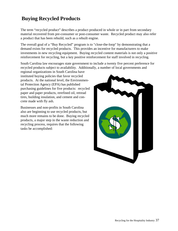# **Buying Recycled Products**

The term "recycled product" describes a product produced in whole or in part from secondary material recovered from pre-consumer or post-consumer waste. Recycled product may also refer a product that has been rebuild, such as a rebuilt engine.

The overall goal of a "Buy Recycled" program is to "close-the-loop" by demonstrating that a demand exists for recycled products. This provides an incentive for manufacturers to make investments in new recycling equipment. Buying recycled content materials is not only a positive reinforcement for recycling, but a key positive reinforcement for staff involved in recycling.

South Carolina law encourages state government to include a twenty five percent preference for recycled products subject to availability. Additionally, a number of local governments and

regional organizations in South Carolina have instituted buying policies that favor recycled products. At the national level, the Environmental Protection Agency (EPA) has published purchasing guidelines for five products: recycled paper and paper products, rerefined oil, retread tires, building insulation, and cement and concrete made with fly ash.

Businesses and non-profits in South Carolina also are beginning to use recycled products, but much more remains to be done. Buying recycled products, a major step in the waste reduction and recycling process, requires that the following tasks be accomplished:

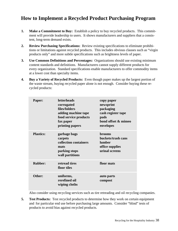## **How to Implement a Recycled Product Purchasing Program**

- **1. Make a Commitment to Buy:** Establish a policy to buy recycled products. This commitment will provide leadership to users. It shows manufacturers and suppliers that a consistent, long-term demand exists.
- **2. Review Purchasing Specifications:** Review existing specifications to eliminate prohibitions or limitations against recycled products. This includes obvious clauses such as "virgin products only" and more subtle specifications such as brightness levels of paper.
- **3. Use Common Definitions and Percentages:** Organizations should use existing minimum content standards and definitions. Manufacturers cannot supply different products for every organization. Standard specifications enable manufacturers to offer commodity items at a lower cost than specialty items.
- **4. Buy a Variety of Recycled Products:** Even though paper makes up the largest portion of the waste stream, buying recycled paper alone is not enough. Consider buying these recycled products:

| Paper:           | <b>letterheads</b><br>corrugated<br>files/folders<br>adding machine tape<br>food service products<br>fax paper<br>printing papers | copy paper<br>newsprint<br>packaging<br>cash register tape<br>pads<br>bond offset & mimeo<br>envelopes |
|------------------|-----------------------------------------------------------------------------------------------------------------------------------|--------------------------------------------------------------------------------------------------------|
| <b>Plastics:</b> | garbage bags<br>carpets<br>collection containers<br>mats<br>parking stops<br>wall partitions                                      | <b>brooms</b><br>buckets/trash cans<br><b>lumber</b><br>office supplies<br>urinal screens              |
| <b>Rubber:</b>   | retread tires<br>floor tiles                                                                                                      | floor mats                                                                                             |
| Other:           | uniforms,<br>rerefined oil<br>wiping cloths                                                                                       | auto parts<br>compost                                                                                  |

Also consider using recycling services such as tire retreading and oil recycling companies.

**5. Test Products:** Test recycled products to determine how they work on certain equipment and for particular end use before purchasing large amounts. Consider "blind" tests of products to avoid bias against recycled products.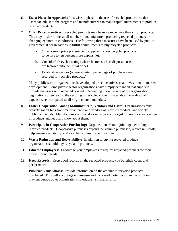- **6. Use a Phase-In Approach:** It is wise to phase-in the use of recycled products so that users can adjust to the program and manufacturers can make capital investments to produce recycled products.
- **7. Offer Price Incentives:** Recycled products may be more expensive than virgin products. This may be due to the small number of manufacturers producing recycled products or changing economics conditions. The following three measures have been used by public/ governmental organizations to fulfill commitments to buy recycled products:
	- a. Offer a small price preference to suppliers (allow recycled products to be five to ten percent more expensive).
	- b. Consider life-cycle costing (where factors such as disposal costs are factored into the initial price).
	- c. Establish set-asides (where a certain percentage of purchases are reserved for recycled products.)

Many public sector organizations have adopted price incentives as an investment in market development. Some private sector organizations have simply demanded that suppliers provide materials with recycled content. Depending upon the size of the organization, negotiations often lead to the securing of recycled content materials at no additional expense when compared to all virgin content materials.

- **8. Foster Cooperation Among Manufacturers, Vendors and Users:** Organizations must actively solicit bids from manufacturers and vendors of recycled products and widely publicize the bids. Manufacturers and vendors must be encouraged to provide a wide range of products and let users know about them.
- **9. Participate in Cooperative Purchasing:** Organizations should join together to buy recycled products. Cooperative purchases expand the volume purchased, reduce unit costs, help ensure availability, and establish common specifications.
- **10. Waste Reduction and Recyclability:** In addition to buying recycled products, organizations should buy recyclable products.
- **11. Educate Employees:** Encourage your employees to request recycled products for their office product needs.
- **12. Keep Records:** Keep good records on the recycled products you buy,their costs, and performance.
- **13. Publicize Your Efforts:** Provide information on the amount of recycled products purchased. This will encourage enthusiasm and increased participation in the program. It may encourage other organizations to establish similar efforts.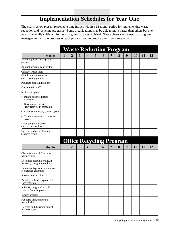# **Implementation Schedules for Year One**

The charts below present reasonable time frames within a 12-month period for implementing waste reduction and recycling programs. Some organizations may be able to move faster than others but one year is generally sufficient for new programs to be established. These charts can be used by program managers to track the progress of each program and to prepare annual progress reports.

|                                                              |   |                |   | <b>Waste Reduction Program</b>  |   |   |                |   |   |           |    |    |
|--------------------------------------------------------------|---|----------------|---|---------------------------------|---|---|----------------|---|---|-----------|----|----|
| <b>Months</b>                                                | 1 | 2              | 3 | 4                               | 5 | 6 | 7              | 8 | 9 | <b>10</b> | 11 | 12 |
| Secure top level management<br>support                       |   |                |   |                                 |   |   |                |   |   |           |    |    |
| Appoint program coordinator                                  |   |                |   |                                 |   |   |                |   |   |           |    |    |
| Conduct waste audit                                          |   |                |   |                                 |   |   |                |   |   |           |    |    |
| Establish waste reduction<br>and recycling policies          |   |                |   |                                 |   |   |                |   |   |           |    |    |
| Publicize program kick-off                                   |   |                |   |                                 |   |   |                |   |   |           |    |    |
| Educate/train staff                                          |   |                |   |                                 |   |   |                |   |   |           |    |    |
| Institute program                                            |   |                |   |                                 |   |   |                |   |   |           |    |    |
| • Initiate paper reduction<br>strategies                     |   |                |   |                                 |   |   |                |   |   |           |    |    |
| • Develop and initiate<br>"Buy Recycled" campaign            |   |                |   |                                 |   |   |                |   |   |           |    |    |
| • Establish inventory control system                         |   |                |   |                                 |   |   |                |   |   |           |    |    |
| • Conduct semi-annual donation<br>drive                      |   |                |   |                                 |   |   |                |   |   |           |    |    |
| Track program progress<br>and provide feedback               |   |                |   |                                 |   |   |                |   |   |           |    |    |
| Develop and present annual<br>progress report                |   |                |   |                                 |   |   |                |   |   |           |    |    |
|                                                              |   |                |   | <b>Office Recycling Program</b> |   |   |                |   |   |           |    |    |
| <b>Months</b>                                                | 1 | $\overline{2}$ | 3 | $\overline{\mathbf{4}}$         | 5 | 6 | $\overline{7}$ | 8 | 9 | 10        | 11 | 12 |
| Obtain support of Executive<br>Management                    |   |                |   |                                 |   |   |                |   |   |           |    |    |
| Designate coordinator and, if<br>necessary, program monitors |   |                |   |                                 |   |   |                |   |   |           |    |    |
| Determine types and amounts of<br>recyclables generated      |   |                |   |                                 |   |   |                |   |   |           |    |    |
| Survey/select markets                                        |   |                |   |                                 |   |   |                |   |   |           |    |    |
| Develop collection system for<br>each recyclable             |   |                |   |                                 |   |   |                |   |   |           |    |    |
| Publicize program kick-off<br>Educate/train employees        |   |                |   |                                 |   |   |                |   |   |           |    |    |
| Initiate program                                             |   |                |   |                                 |   |   |                |   |   |           |    |    |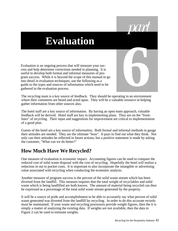# **Evaluation**

Evaluation is an ongoing process that will measure your success and help determine corrections needed in planning. It is useful to develop both formal and informal measures of program success. While it is beyond the scope of this manual to go into detail in evaluation techniques, use the following as a guide to the types and sources of information which need to be gathered in the evaluation process.

The recycling team is a key source of feedback. They should be operating in an environment where their comments are heard and acted upon. They will be a valuable resource in helping gather information from other sources also. **6**

The hotel staff are a key source of information. By having an open team approach, valuable feedback will be derived. Hotel staff are key in implementing plans. They are on the "frontlines" of recycling. Their input and suggestions for improvement are critical to implementation of a good plan.

Guests of the hotel are a key source of information. Both formal and informal methods to gauge their attitudes are needed. They are the ultimate "boss". It pays to find out what they think. Not only can their attitudes be reflected in future actions, but a positive statement is made by asking the customer, "What can we do better?"

#### **How Much Have We Recycled?**

One measure of evaluation is economic impact. Accounting figures can be used to compare the reduced cost of solid waste disposal with the cost of recycling. Hopefully the hotel will realize a reduction in out to pocket costs. It is important to also incorporate the intangible or advertising value associated with recycling when conducting the economic analysis.

Another measure of program success is the percent of the solid waste stream which has been diverted from the landfill. This measure requires that the total weight of recyclables and solid waste which is being landfilled are both known. The amount of material being recycled can then be expressed as a percentage of the total solid waste stream generated by the property.

It will be a source of pride and accomplishment to be able to accurately say what percent of solid waste generated was diverted from the landfill by recycling. In order to do this accurate records must be maintained. If your waste and recycling processors provide weight figures, then the it is simply a matter of analyzing the existing data. If weights are not available, then the data in Figure 2 can be used to estimate weights.

*part*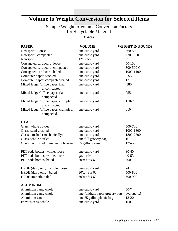# **Volume to Weight Conversion for Selected Items**

#### Sample Weight to Volume Conversion Factors for Recyclable Material

*Figure 2*

| <b>PAPER</b>                                        | <b>VOLUME</b>                   | <b>WEIGHT IN POUNDS</b> |
|-----------------------------------------------------|---------------------------------|-------------------------|
| Newsprint, Loose                                    | one cubic yard                  | 360-500                 |
| Newsprint, compacted                                | one cubic yard                  | 720-1000                |
| Newsprint                                           | 12" stack                       | 35                      |
| Corrugated cardboard, loose                         | one cubic yard                  | 50-150                  |
| Corrugated cardboard, compacted                     | one cubic yard                  | 300-500 C               |
| Corrugated cardboard, baled                         | one cubic yard                  | 1000-1100               |
| Computer paper, stacked                             | one cubic yard                  | 655                     |
| Computer paper, compacted/baled                     | one cubic yard                  | 1310                    |
| Mixed ledger/office paper, flat,<br>uncompacted     | one cubic yard                  | 380                     |
| Mixed ledger/office paper, flat,<br>compacted       | one cubic yard                  | 755                     |
| Mixed ledger/office paper, crumpled,<br>uncompacted | one cubic yard                  | 110-205                 |
| Mixed ledger/office paper, crumpled,<br>compacted   | one cubic yard                  | 610                     |
| <b>GLASS</b>                                        |                                 |                         |
| Glass, whole bottles                                | one cubic yard                  | 500-700                 |
| Glass, semi crushed                                 | one cubic yard                  | 1000-1800               |
| Glass, crushed (mechanically)                       | one cubic yard                  | 1800-2700               |
| Glass, whole bottles                                | one full grocery bag            | 16                      |
| Glass, uncrushed to manually broken                 | 55 gallon drum                  | 125-500                 |
| PET soda bottles, whole, loose                      | one cubic yard                  | $30 - 40$               |
| PET soda bottles, whole, loose                      | gaylord*                        | 40-53                   |
| PET soda bottles, baled                             | 30'x 48'x 60'                   | 500                     |
| HPDE (dairy only), whole, loose                     | one cubic yard                  | 24                      |
| HPDE (dairy only), baled                            | 30'x 48'x 60'                   | 500-800                 |
| HPDE (mixed), baled                                 | 30'x 48'x 60'                   | 600-900                 |
| <b>ALUMINUM</b>                                     |                                 |                         |
| Aluminum cans, whole                                | one cubic yard                  | 50-74                   |
| Aluminum cans, whole                                | one fulldraft paper grocery bag | average 1.5             |
| Aluminum cans                                       | one 55 gallon plastic bag       | $13 - 20$               |
| Ferrous cans, whole                                 | one cubic yard                  | 150                     |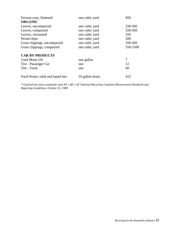| Ferrous cans, flattened           | one cubic yard | 850      |  |  |
|-----------------------------------|----------------|----------|--|--|
| <b>ORGANIC</b>                    |                |          |  |  |
| Leaves, uncompacted               | one cubic yard | 250-500  |  |  |
| Leaves, compacted                 | one cubic yard | 320-450  |  |  |
| Leaves, vacuumed                  | one cubic yard | 350      |  |  |
| Wood chips                        | one cubic yard | 500      |  |  |
| Grass clippings, uncompacted      | one cubic yard | 350-450  |  |  |
| Grass clippings, compacted        | one cubic yard | 550-1500 |  |  |
| <b>CAR BY-PRODUCTS</b>            |                |          |  |  |
| <b>Used Motor Oil</b>             | one gallon     | 7        |  |  |
| Tire - Passenger Car              | one            | 12       |  |  |
| Tire - Truck                      | one            | 60       |  |  |
| Food Waste, solid and liquid fats | 55 gallon drum | 412      |  |  |

*\* Gaylord size most commonly used 40' x 48' x 36' National Recycling Coalition Measurement Standards and Reporting Guidelines, October 31, 1989*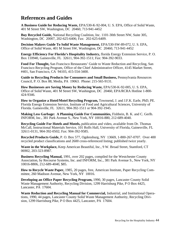#### **References and Guides**

**A Business Guide for Reducing Waste,** EPA/530-K-92-004, U. S. EPA, Office of Solid Waste, 401 M Street SW, Washington, DC 20460, 713-941-4452

**Buy Recycled Guide,** National Recycling Coalition, Inc. 1101-30th Street NW, Suite 305, Washington, DC 20007, 202-625-6406; Fax: 202-625-6409.

**Decision Makers Guide To Solid Waste Management,** EPA/530-SW-89-072, U. S. EPA, Office of Solid Waste, 401 M Street SW, Washington, DC 20460, 713-941-4452

**Energy Efficiency For Florida's Hospitality Industry,** florida Energy Extension Service, P. O. Box 110940, Gainesville, FL 32611, 904-392-1511; Fax: 904-392-9033.

**Food For Thought,** San Francisco Restaurants' Guide to Waste Reduction and Recycling, San Francisco Recycling Program, Office of the Chief Administrative Officer, 4145 Market Street, #401, San Francisco, CA 94103, 415-554-3400.

**Guide to Recycling Products for Consumers and Small Business,** Pennsylvania Resources Council, P. O. Box 88, Media, PA 19063. Phone: 215-565-9131.

**How Businesses are Saving Money by Reducing Waste,** EPA/530-K-92-005, U. S. EPA, Office of Solid Waste, 401 M Street SW, Washington, DC 20460, EPA/RCRA Hotline 1-800- 424-9346.

**How to Organize a Hotel/Motel Recycling Program,** Townsend, J. and J.F.K. Earle, PhD, PE. Florida Energy Extension Service, Institute of Food and Agricultural Sciences, University of Florida. Gainesville, FL 32611, 904-392-1511 or 904-392-1945.

**Making Less Garbage: A Planning Guide For Communities,** Fishbein, B. K. and C. Gerlb. INFORM, Inc., 381 Park Avenue S., New York, NY 10016-880, 212-689-4040.

**Recycling Guide For Hotels and Motels,** publication and video, available from Dr. Thomas McCall, Instructional Materials Service, 101 Rolfs Hall, University of Florida, Gainesville, FL 32611-0131, 904-392-0502; Fax: 904-392-9585.

**Recycled Products Guide,** P. O. Box 577, Ogdensburg, NY 13669, 1-800-267-0707. Over 400 recycled product classifications and 2600 cross-referenced listing; published twice yearly.

**Waste in the Workplace,** Keep American Beautiful, Inc., 9 W. Broad Street, Stamford, CT 06902, 203-323-8987.

**Business Recycling Manual,** 1991, over 202 pages, compiled for the Westchester County Association, by Recourse Systems, Inc. and INFORM, Inc., 381 Park Avenue S., New York, NY 10016-8806, 212-689-4040, \$85.

**How to Recycle Waste Paper,** 1985, 20 pages, free, American Institute, Paper Recycling Committee, 260 Madison Avenue, New York, NY 10016.

**Developing an Office Paper Recycling Program,** 1990, 30 pages, Lancaster County Solid Waste Management Authority, Recycling Division, 1299 Harrisburg Pike, P O Box 4425, Lancaster, PA 17604.

**Waste Reduction and Recycling Manual for Commercial,** Industrial, and Institutional Operations, 1990, 44 pages, Lancaster County Solid Waste Management Authority, Recycling Division, 1299 Harrisburg Pike, P O Box 4425, Lancaster, PA 17604.